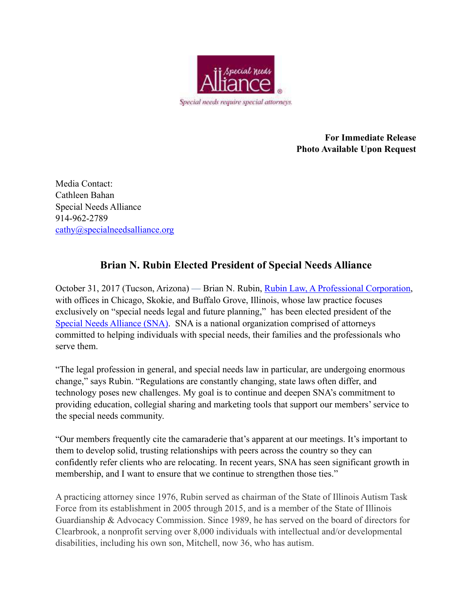

**For Immediate Release Photo Available Upon Request** 

Media Contact: Cathleen Bahan Special Needs Alliance 914-962-2789 [cathy@specialneedsalliance.org](mailto:cathy@specialneedsalliance.org)

## **Brian N. Rubin Elected President of Special Needs Alliance**

October 31, 2017 (Tucson, Arizona) — Brian N. Rubin, [Rubin Law, A Professional Corporation,](https://www.rubinlaw.com/) with offices in Chicago, Skokie, and Buffalo Grove, Illinois, whose law practice focuses exclusively on "special needs legal and future planning," has been elected president of the [Special Needs Alliance \(SNA\)](http://www.specialneedsalliance.org/). SNA is a national organization comprised of attorneys committed to helping individuals with special needs, their families and the professionals who serve them.

"The legal profession in general, and special needs law in particular, are undergoing enormous change," says Rubin. "Regulations are constantly changing, state laws often differ, and technology poses new challenges. My goal is to continue and deepen SNA's commitment to providing education, collegial sharing and marketing tools that support our members' service to the special needs community.

"Our members frequently cite the camaraderie that's apparent at our meetings. It's important to them to develop solid, trusting relationships with peers across the country so they can confidently refer clients who are relocating. In recent years, SNA has seen significant growth in membership, and I want to ensure that we continue to strengthen those ties."

A practicing attorney since 1976, Rubin served as chairman of the State of Illinois Autism Task Force from its establishment in 2005 through 2015, and is a member of the State of Illinois Guardianship & Advocacy Commission. Since 1989, he has served on the board of directors for Clearbrook, a nonprofit serving over 8,000 individuals with intellectual and/or developmental disabilities, including his own son, Mitchell, now 36, who has autism.